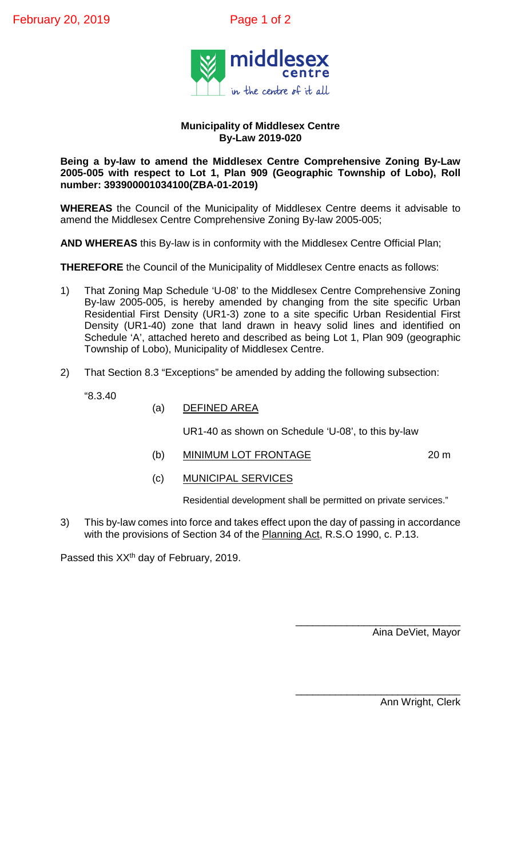

## **Municipality of Middlesex Centre By-Law 2019-020**

## **Being a by-law to amend the Middlesex Centre Comprehensive Zoning By-Law 2005-005 with respect to Lot 1, Plan 909 (Geographic Township of Lobo), Roll number: 393900001034100(ZBA-01-2019)**

**WHEREAS** the Council of the Municipality of Middlesex Centre deems it advisable to amend the Middlesex Centre Comprehensive Zoning By-law 2005-005;

**AND WHEREAS** this By-law is in conformity with the Middlesex Centre Official Plan;

**THEREFORE** the Council of the Municipality of Middlesex Centre enacts as follows:

- 1) That Zoning Map Schedule 'U-08' to the Middlesex Centre Comprehensive Zoning By-law 2005-005, is hereby amended by changing from the site specific Urban Residential First Density (UR1-3) zone to a site specific Urban Residential First Density (UR1-40) zone that land drawn in heavy solid lines and identified on Schedule 'A', attached hereto and described as being Lot 1, Plan 909 (geographic Township of Lobo), Municipality of Middlesex Centre.
- 2) That Section 8.3 "Exceptions" be amended by adding the following subsection:
	- "8.3.40
- (a) DEFINED AREA

UR1-40 as shown on Schedule 'U-08', to this by-law

(b) MINIMUM LOT FRONTAGE 20 m

(c) MUNICIPAL SERVICES

Residential development shall be permitted on private services."

3) This by-law comes into force and takes effect upon the day of passing in accordance with the provisions of Section 34 of the Planning Act, R.S.O 1990, c. P.13.

Passed this XX<sup>th</sup> day of February, 2019.

\_\_\_\_\_\_\_\_\_\_\_\_\_\_\_\_\_\_\_\_\_\_\_\_\_\_\_\_\_ Aina DeViet, Mayor

\_\_\_\_\_\_\_\_\_\_\_\_\_\_\_\_\_\_\_\_\_\_\_\_\_\_\_\_\_ Ann Wright, Clerk